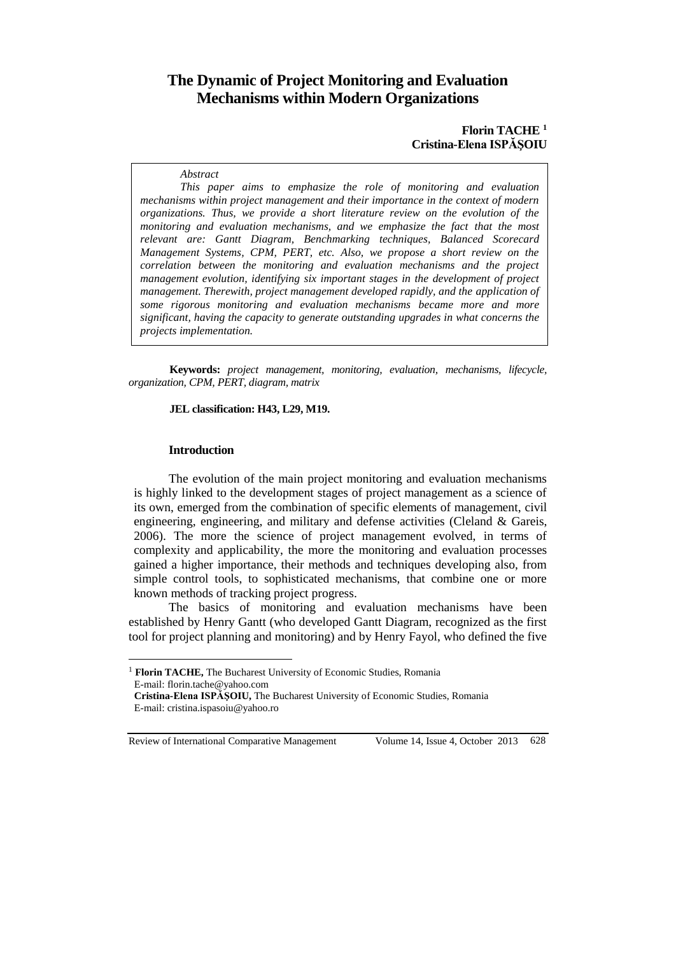# **The Dynamic of Project Monitoring and Evaluation Mechanisms within Modern Organizations**

#### **Florin TACHE <sup>1</sup> Cristina-Elena ISPĂŞOIU**

#### *Abstract*

*This paper aims to emphasize the role of monitoring and evaluation mechanisms within project management and their importance in the context of modern organizations. Thus, we provide a short literature review on the evolution of the monitoring and evaluation mechanisms, and we emphasize the fact that the most relevant are: Gantt Diagram, Benchmarking techniques, Balanced Scorecard Management Systems, CPM, PERT, etc. Also, we propose a short review on the correlation between the monitoring and evaluation mechanisms and the project management evolution, identifying six important stages in the development of project management. Therewith, project management developed rapidly, and the application of some rigorous monitoring and evaluation mechanisms became more and more significant, having the capacity to generate outstanding upgrades in what concerns the projects implementation.*

**Keywords:** *project management, monitoring, evaluation, mechanisms, lifecycle, organization, CPM, PERT, diagram, matrix*

#### **JEL classification: H43, L29, M19.**

#### **Introduction**

 $\overline{a}$ 

The evolution of the main project monitoring and evaluation mechanisms is highly linked to the development stages of project management as a science of its own, emerged from the combination of specific elements of management, civil engineering, engineering, and military and defense activities (Cleland & Gareis, 2006). The more the science of project management evolved, in terms of complexity and applicability, the more the monitoring and evaluation processes gained a higher importance, their methods and techniques developing also, from simple control tools, to sophisticated mechanisms, that combine one or more known methods of tracking project progress.

The basics of monitoring and evaluation mechanisms have been established by Henry Gantt (who developed Gantt Diagram, recognized as the first tool for project planning and monitoring) and by Henry Fayol, who defined the five

<sup>&</sup>lt;sup>1</sup> **Florin TACHE,** The Bucharest University of Economic Studies, Romania E-mail: florin.tache@yahoo.com

**Cristina-Elena ISPĂŞOIU,** The Bucharest University of Economic Studies, Romania E-mail: cristina.ispasoiu@yahoo.ro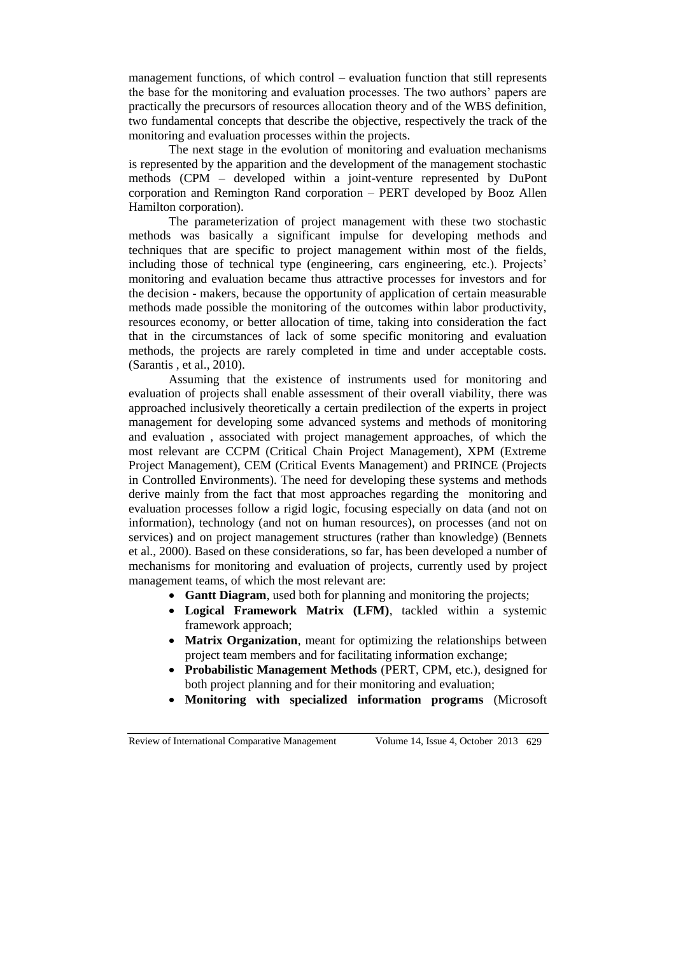management functions, of which control – evaluation function that still represents the base for the monitoring and evaluation processes. The two authors' papers are practically the precursors of resources allocation theory and of the WBS definition, two fundamental concepts that describe the objective, respectively the track of the monitoring and evaluation processes within the projects.

The next stage in the evolution of monitoring and evaluation mechanisms is represented by the apparition and the development of the management stochastic methods (CPM – developed within a joint-venture represented by DuPont corporation and Remington Rand corporation – PERT developed by Booz Allen Hamilton corporation).

The parameterization of project management with these two stochastic methods was basically a significant impulse for developing methods and techniques that are specific to project management within most of the fields, including those of technical type (engineering, cars engineering, etc.). Projects' monitoring and evaluation became thus attractive processes for investors and for the decision - makers, because the opportunity of application of certain measurable methods made possible the monitoring of the outcomes within labor productivity, resources economy, or better allocation of time, taking into consideration the fact that in the circumstances of lack of some specific monitoring and evaluation methods, the projects are rarely completed in time and under acceptable costs. (Sarantis , et al., 2010).

Assuming that the existence of instruments used for monitoring and evaluation of projects shall enable assessment of their overall viability, there was approached inclusively theoretically a certain predilection of the experts in project management for developing some advanced systems and methods of monitoring and evaluation , associated with project management approaches, of which the most relevant are CCPM (Critical Chain Project Management), XPM (Extreme Project Management), CEM (Critical Events Management) and PRINCE (Projects in Controlled Environments). The need for developing these systems and methods derive mainly from the fact that most approaches regarding the monitoring and evaluation processes follow a rigid logic, focusing especially on data (and not on information), technology (and not on human resources), on processes (and not on services) and on project management structures (rather than knowledge) (Bennets et al., 2000). Based on these considerations, so far, has been developed a number of mechanisms for monitoring and evaluation of projects, currently used by project management teams, of which the most relevant are:

- **Gantt Diagram**, used both for planning and monitoring the projects;
- **Logical Framework Matrix (LFM)**, tackled within a systemic framework approach;
- **Matrix Organization**, meant for optimizing the relationships between project team members and for facilitating information exchange;
- **Probabilistic Management Methods** (PERT, CPM, etc.), designed for both project planning and for their monitoring and evaluation;
- **Monitoring with specialized information programs** (Microsoft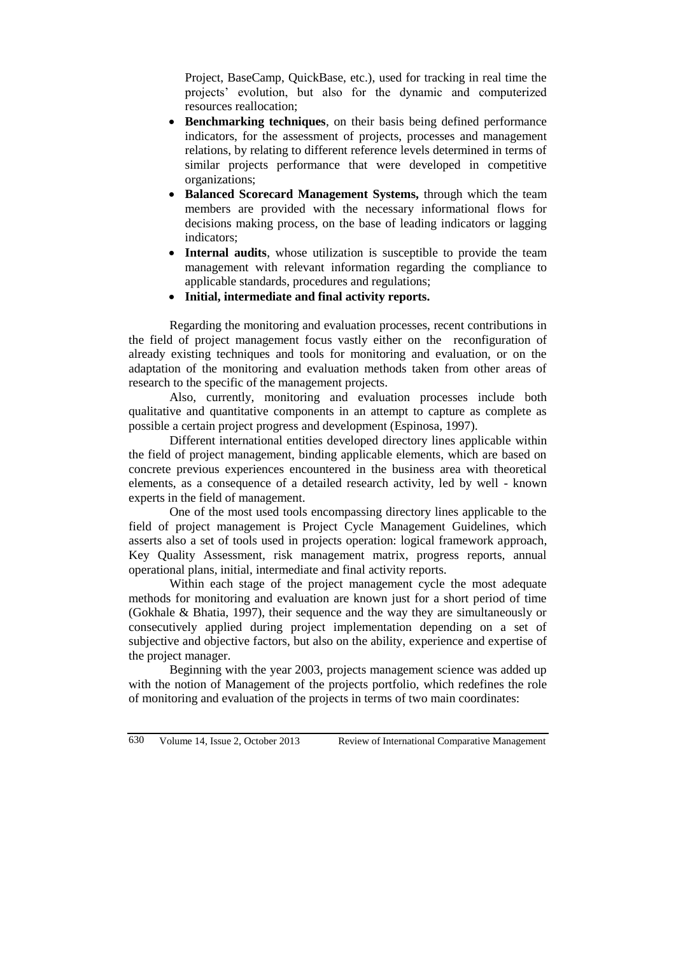Project, BaseCamp, QuickBase, etc.), used for tracking in real time the projects' evolution, but also for the dynamic and computerized resources reallocation;

- **Benchmarking techniques**, on their basis being defined performance indicators, for the assessment of projects, processes and management relations, by relating to different reference levels determined in terms of similar projects performance that were developed in competitive organizations;
- **Balanced Scorecard Management Systems,** through which the team members are provided with the necessary informational flows for decisions making process, on the base of leading indicators or lagging indicators;
- **Internal audits**, whose utilization is susceptible to provide the team management with relevant information regarding the compliance to applicable standards, procedures and regulations;
- **Initial, intermediate and final activity reports.**

Regarding the monitoring and evaluation processes, recent contributions in the field of project management focus vastly either on the reconfiguration of already existing techniques and tools for monitoring and evaluation, or on the adaptation of the monitoring and evaluation methods taken from other areas of research to the specific of the management projects.

Also, currently, monitoring and evaluation processes include both qualitative and quantitative components in an attempt to capture as complete as possible a certain project progress and development (Espinosa, 1997).

Different international entities developed directory lines applicable within the field of project management, binding applicable elements, which are based on concrete previous experiences encountered in the business area with theoretical elements, as a consequence of a detailed research activity, led by well - known experts in the field of management.

One of the most used tools encompassing directory lines applicable to the field of project management is Project Cycle Management Guidelines, which asserts also a set of tools used in projects operation: logical framework approach, Key Quality Assessment, risk management matrix, progress reports, annual operational plans, initial, intermediate and final activity reports.

Within each stage of the project management cycle the most adequate methods for monitoring and evaluation are known just for a short period of time (Gokhale & Bhatia, 1997), their sequence and the way they are simultaneously or consecutively applied during project implementation depending on a set of subjective and objective factors, but also on the ability, experience and expertise of the project manager.

Beginning with the year 2003, projects management science was added up with the notion of Management of the projects portfolio, which redefines the role of monitoring and evaluation of the projects in terms of two main coordinates: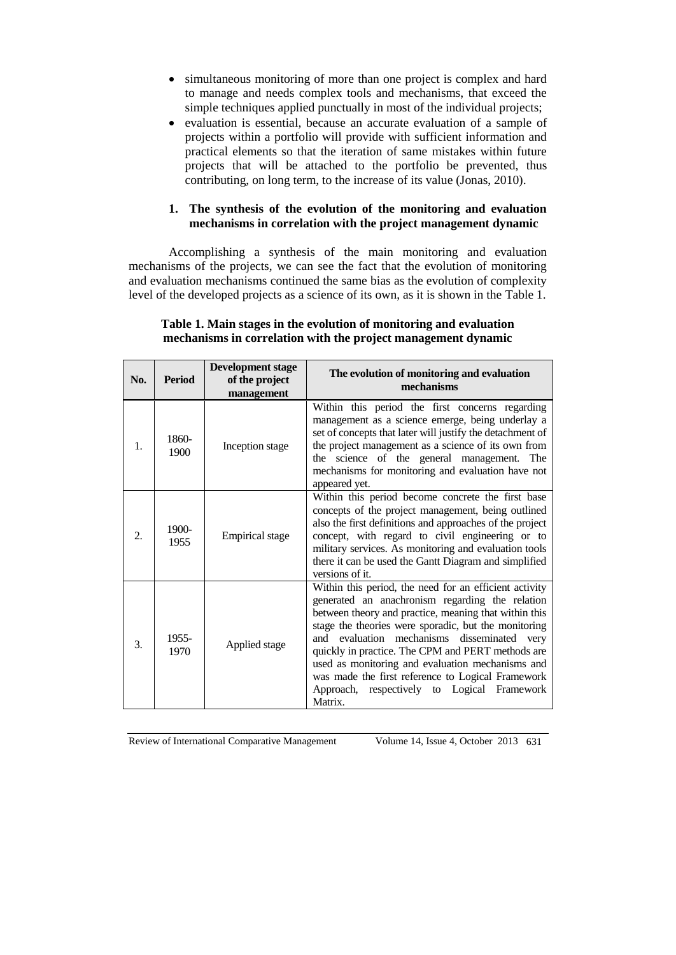- simultaneous monitoring of more than one project is complex and hard to manage and needs complex tools and mechanisms, that exceed the simple techniques applied punctually in most of the individual projects;
- evaluation is essential, because an accurate evaluation of a sample of projects within a portfolio will provide with sufficient information and practical elements so that the iteration of same mistakes within future projects that will be attached to the portfolio be prevented, thus contributing, on long term, to the increase of its value (Jonas, 2010).

# **1. The synthesis of the evolution of the monitoring and evaluation mechanisms in correlation with the project management dynamic**

Accomplishing a synthesis of the main monitoring and evaluation mechanisms of the projects, we can see the fact that the evolution of monitoring and evaluation mechanisms continued the same bias as the evolution of complexity level of the developed projects as a science of its own, as it is shown in the [Table](#page-3-0) 1.

### <span id="page-3-0"></span>**Table 1. Main stages in the evolution of monitoring and evaluation mechanisms in correlation with the project management dynamic**

| No.            | <b>Period</b> | <b>Development stage</b><br>of the project<br>management | The evolution of monitoring and evaluation<br>mechanisms                                                                                                                                                                                                                                                                                                                                                                                                                                             |
|----------------|---------------|----------------------------------------------------------|------------------------------------------------------------------------------------------------------------------------------------------------------------------------------------------------------------------------------------------------------------------------------------------------------------------------------------------------------------------------------------------------------------------------------------------------------------------------------------------------------|
| 1.             | 1860-<br>1900 | Inception stage                                          | Within this period the first concerns regarding<br>management as a science emerge, being underlay a<br>set of concepts that later will justify the detachment of<br>the project management as a science of its own from<br>the science of the general management. The<br>mechanisms for monitoring and evaluation have not<br>appeared yet.                                                                                                                                                          |
| $\mathfrak{D}$ | 1900-<br>1955 | <b>Empirical</b> stage                                   | Within this period become concrete the first base<br>concepts of the project management, being outlined<br>also the first definitions and approaches of the project<br>concept, with regard to civil engineering or to<br>military services. As monitoring and evaluation tools<br>there it can be used the Gantt Diagram and simplified<br>versions of it.                                                                                                                                          |
| 3.             | 1955-<br>1970 | Applied stage                                            | Within this period, the need for an efficient activity<br>generated an anachronism regarding the relation<br>between theory and practice, meaning that within this<br>stage the theories were sporadic, but the monitoring<br>evaluation mechanisms disseminated very<br>and<br>quickly in practice. The CPM and PERT methods are<br>used as monitoring and evaluation mechanisms and<br>was made the first reference to Logical Framework<br>Approach, respectively to Logical Framework<br>Matrix. |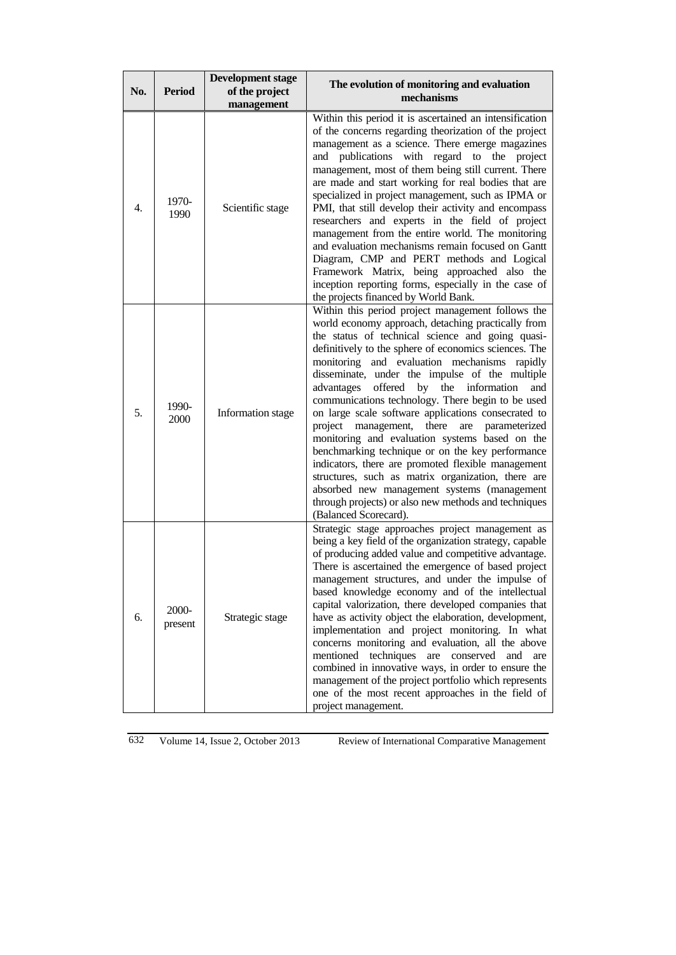| No.              | <b>Period</b>    | <b>Development stage</b><br>of the project<br>management | The evolution of monitoring and evaluation<br>mechanisms                                                                                                                                                                                                                                                                                                                                                                                                                                                                                                                                                                                                                                                                                                                                                                                                                                           |
|------------------|------------------|----------------------------------------------------------|----------------------------------------------------------------------------------------------------------------------------------------------------------------------------------------------------------------------------------------------------------------------------------------------------------------------------------------------------------------------------------------------------------------------------------------------------------------------------------------------------------------------------------------------------------------------------------------------------------------------------------------------------------------------------------------------------------------------------------------------------------------------------------------------------------------------------------------------------------------------------------------------------|
| $\overline{4}$ . | 1970-<br>1990    | Scientific stage                                         | Within this period it is ascertained an intensification<br>of the concerns regarding theorization of the project<br>management as a science. There emerge magazines<br>and publications with regard to the project<br>management, most of them being still current. There<br>are made and start working for real bodies that are<br>specialized in project management, such as IPMA or<br>PMI, that still develop their activity and encompass<br>researchers and experts in the field of project<br>management from the entire world. The monitoring<br>and evaluation mechanisms remain focused on Gantt<br>Diagram, CMP and PERT methods and Logical<br>Framework Matrix, being approached also the<br>inception reporting forms, especially in the case of<br>the projects financed by World Bank.                                                                                             |
| 5.               | 1990-<br>2000    | Information stage                                        | Within this period project management follows the<br>world economy approach, detaching practically from<br>the status of technical science and going quasi-<br>definitively to the sphere of economics sciences. The<br>monitoring and evaluation mechanisms rapidly<br>disseminate, under the impulse of the multiple<br>offered by the information<br>advantages<br>and<br>communications technology. There begin to be used<br>on large scale software applications consecrated to<br>project<br>management,<br>there<br>parameterized<br>are<br>monitoring and evaluation systems based on the<br>benchmarking technique or on the key performance<br>indicators, there are promoted flexible management<br>structures, such as matrix organization, there are<br>absorbed new management systems (management<br>through projects) or also new methods and techniques<br>(Balanced Scorecard). |
| 6.               | 2000-<br>present | Strategic stage                                          | Strategic stage approaches project management as<br>being a key field of the organization strategy, capable<br>of producing added value and competitive advantage.<br>There is ascertained the emergence of based project<br>management structures, and under the impulse of<br>based knowledge economy and of the intellectual<br>capital valorization, there developed companies that<br>have as activity object the elaboration, development,<br>implementation and project monitoring. In what<br>concerns monitoring and evaluation, all the above<br>mentioned techniques<br>are conserved<br>and<br>are<br>combined in innovative ways, in order to ensure the<br>management of the project portfolio which represents<br>one of the most recent approaches in the field of<br>project management.                                                                                          |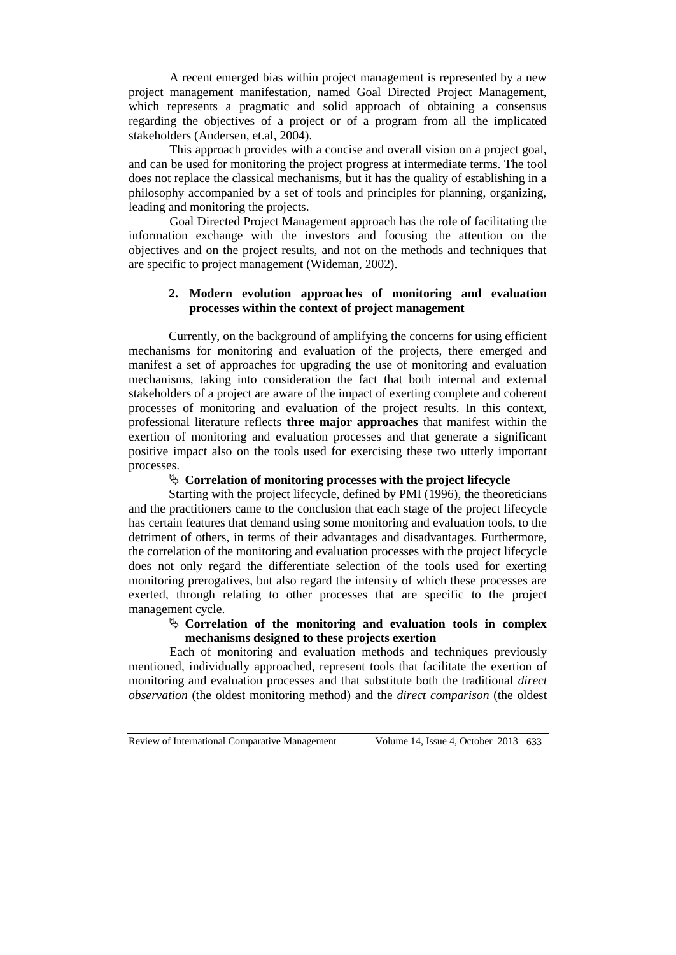A recent emerged bias within project management is represented by a new project management manifestation, named Goal Directed Project Management, which represents a pragmatic and solid approach of obtaining a consensus regarding the objectives of a project or of a program from all the implicated stakeholders (Andersen, et.al, 2004).

This approach provides with a concise and overall vision on a project goal, and can be used for monitoring the project progress at intermediate terms. The tool does not replace the classical mechanisms, but it has the quality of establishing in a philosophy accompanied by a set of tools and principles for planning, organizing, leading and monitoring the projects.

Goal Directed Project Management approach has the role of facilitating the information exchange with the investors and focusing the attention on the objectives and on the project results, and not on the methods and techniques that are specific to project management (Wideman, 2002).

### **2. Modern evolution approaches of monitoring and evaluation processes within the context of project management**

Currently, on the background of amplifying the concerns for using efficient mechanisms for monitoring and evaluation of the projects, there emerged and manifest a set of approaches for upgrading the use of monitoring and evaluation mechanisms, taking into consideration the fact that both internal and external stakeholders of a project are aware of the impact of exerting complete and coherent processes of monitoring and evaluation of the project results. In this context, professional literature reflects **three major approaches** that manifest within the exertion of monitoring and evaluation processes and that generate a significant positive impact also on the tools used for exercising these two utterly important processes.

# **Correlation of monitoring processes with the project lifecycle**

Starting with the project lifecycle, defined by PMI (1996), the theoreticians and the practitioners came to the conclusion that each stage of the project lifecycle has certain features that demand using some monitoring and evaluation tools, to the detriment of others, in terms of their advantages and disadvantages. Furthermore, the correlation of the monitoring and evaluation processes with the project lifecycle does not only regard the differentiate selection of the tools used for exerting monitoring prerogatives, but also regard the intensity of which these processes are exerted, through relating to other processes that are specific to the project management cycle.

# **Correlation of the monitoring and evaluation tools in complex mechanisms designed to these projects exertion**

Each of monitoring and evaluation methods and techniques previously mentioned, individually approached, represent tools that facilitate the exertion of monitoring and evaluation processes and that substitute both the traditional *direct observation* (the oldest monitoring method) and the *direct comparison* (the oldest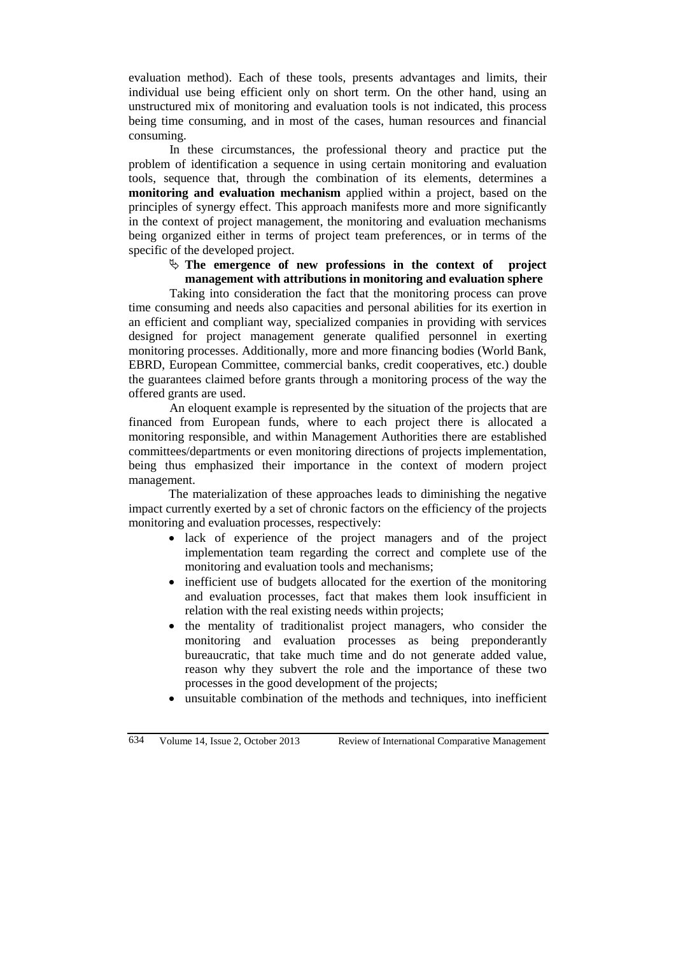evaluation method). Each of these tools, presents advantages and limits, their individual use being efficient only on short term. On the other hand, using an unstructured mix of monitoring and evaluation tools is not indicated, this process being time consuming, and in most of the cases, human resources and financial consuming.

In these circumstances, the professional theory and practice put the problem of identification a sequence in using certain monitoring and evaluation tools, sequence that, through the combination of its elements, determines a **monitoring and evaluation mechanism** applied within a project, based on the principles of synergy effect. This approach manifests more and more significantly in the context of project management, the monitoring and evaluation mechanisms being organized either in terms of project team preferences, or in terms of the specific of the developed project.

#### $\&$  The emergence of new professions in the context of project **management with attributions in monitoring and evaluation sphere**

Taking into consideration the fact that the monitoring process can prove time consuming and needs also capacities and personal abilities for its exertion in an efficient and compliant way, specialized companies in providing with services designed for project management generate qualified personnel in exerting monitoring processes. Additionally, more and more financing bodies (World Bank, EBRD, European Committee, commercial banks, credit cooperatives, etc.) double the guarantees claimed before grants through a monitoring process of the way the offered grants are used.

An eloquent example is represented by the situation of the projects that are financed from European funds, where to each project there is allocated a monitoring responsible, and within Management Authorities there are established committees/departments or even monitoring directions of projects implementation, being thus emphasized their importance in the context of modern project management.

The materialization of these approaches leads to diminishing the negative impact currently exerted by a set of chronic factors on the efficiency of the projects monitoring and evaluation processes, respectively:

- lack of experience of the project managers and of the project implementation team regarding the correct and complete use of the monitoring and evaluation tools and mechanisms;
- inefficient use of budgets allocated for the exertion of the monitoring and evaluation processes, fact that makes them look insufficient in relation with the real existing needs within projects;
- the mentality of traditionalist project managers, who consider the monitoring and evaluation processes as being preponderantly bureaucratic, that take much time and do not generate added value, reason why they subvert the role and the importance of these two processes in the good development of the projects;
- unsuitable combination of the methods and techniques, into inefficient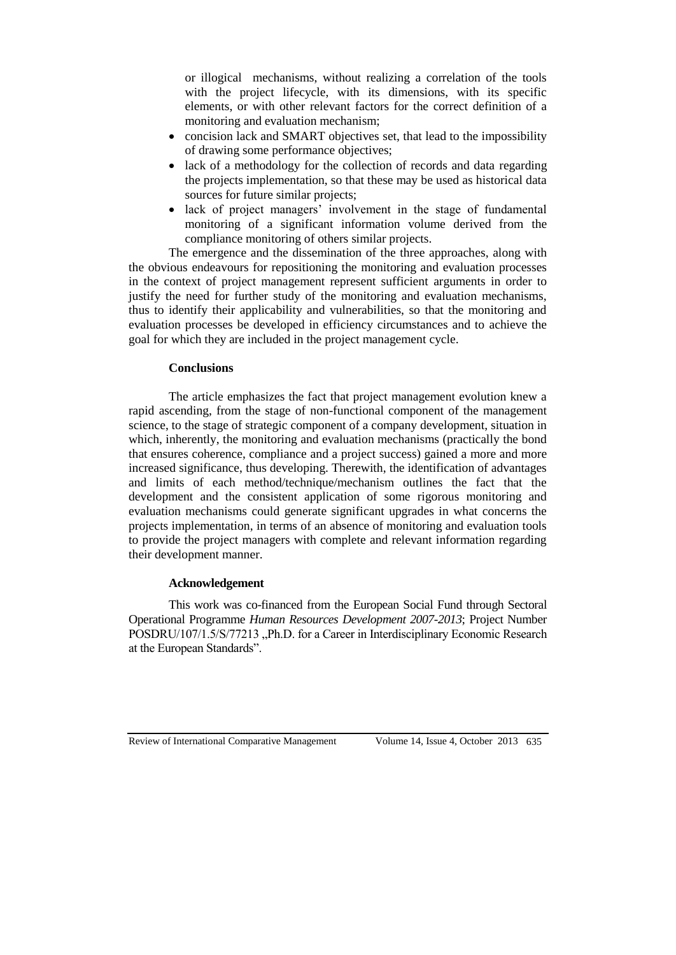or illogical mechanisms, without realizing a correlation of the tools with the project lifecycle, with its dimensions, with its specific elements, or with other relevant factors for the correct definition of a monitoring and evaluation mechanism;

- concision lack and SMART objectives set, that lead to the impossibility of drawing some performance objectives;
- lack of a methodology for the collection of records and data regarding the projects implementation, so that these may be used as historical data sources for future similar projects;
- lack of project managers' involvement in the stage of fundamental monitoring of a significant information volume derived from the compliance monitoring of others similar projects.

The emergence and the dissemination of the three approaches, along with the obvious endeavours for repositioning the monitoring and evaluation processes in the context of project management represent sufficient arguments in order to justify the need for further study of the monitoring and evaluation mechanisms, thus to identify their applicability and vulnerabilities, so that the monitoring and evaluation processes be developed in efficiency circumstances and to achieve the goal for which they are included in the project management cycle.

#### **Conclusions**

The article emphasizes the fact that project management evolution knew a rapid ascending, from the stage of non-functional component of the management science, to the stage of strategic component of a company development, situation in which, inherently, the monitoring and evaluation mechanisms (practically the bond that ensures coherence, compliance and a project success) gained a more and more increased significance, thus developing. Therewith, the identification of advantages and limits of each method/technique/mechanism outlines the fact that the development and the consistent application of some rigorous monitoring and evaluation mechanisms could generate significant upgrades in what concerns the projects implementation, in terms of an absence of monitoring and evaluation tools to provide the project managers with complete and relevant information regarding their development manner.

#### **Acknowledgement**

This work was co-financed from the European Social Fund through Sectoral Operational Programme *Human Resources Development 2007-2013*; Project Number POSDRU/107/1.5/S/77213 . Ph.D. for a Career in Interdisciplinary Economic Research at the European Standards".